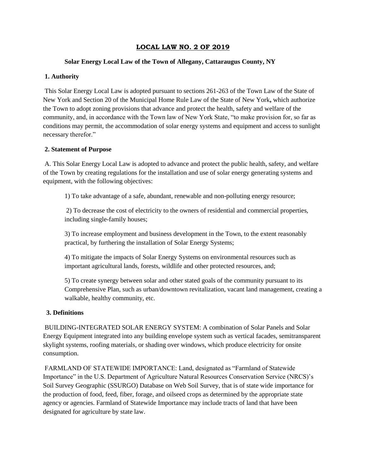## **LOCAL LAW NO. 2 OF 2019**

#### **Solar Energy Local Law of the Town of Allegany, Cattaraugus County, NY**

#### **1. Authority**

This Solar Energy Local Law is adopted pursuant to sections 261-263 of the Town Law of the State of New York and Section 20 of the Municipal Home Rule Law of the State of New York**,** which authorize the Town to adopt zoning provisions that advance and protect the health, safety and welfare of the community, and, in accordance with the Town law of New York State, "to make provision for, so far as conditions may permit, the accommodation of solar energy systems and equipment and access to sunlight necessary therefor."

#### **2. Statement of Purpose**

A. This Solar Energy Local Law is adopted to advance and protect the public health, safety, and welfare of the Town by creating regulations for the installation and use of solar energy generating systems and equipment, with the following objectives:

1) To take advantage of a safe, abundant, renewable and non-polluting energy resource;

2) To decrease the cost of electricity to the owners of residential and commercial properties, including single-family houses;

3) To increase employment and business development in the Town, to the extent reasonably practical, by furthering the installation of Solar Energy Systems;

4) To mitigate the impacts of Solar Energy Systems on environmental resources such as important agricultural lands, forests, wildlife and other protected resources, and;

5) To create synergy between solar and other stated goals of the community pursuant to its Comprehensive Plan, such as urban/downtown revitalization, vacant land management, creating a walkable, healthy community, etc.

#### **3. Definitions**

BUILDING-INTEGRATED SOLAR ENERGY SYSTEM: A combination of Solar Panels and Solar Energy Equipment integrated into any building envelope system such as vertical facades, semitransparent skylight systems, roofing materials, or shading over windows, which produce electricity for onsite consumption.

FARMLAND OF STATEWIDE IMPORTANCE: Land, designated as "Farmland of Statewide Importance" in the U.S. Department of Agriculture Natural Resources Conservation Service (NRCS)'s Soil Survey Geographic (SSURGO) Database on Web Soil Survey, that is of state wide importance for the production of food, feed, fiber, forage, and oilseed crops as determined by the appropriate state agency or agencies. Farmland of Statewide Importance may include tracts of land that have been designated for agriculture by state law.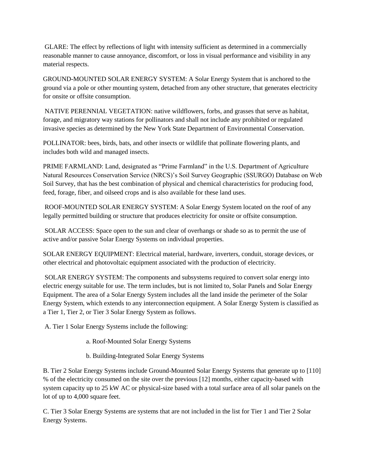GLARE: The effect by reflections of light with intensity sufficient as determined in a commercially reasonable manner to cause annoyance, discomfort, or loss in visual performance and visibility in any material respects.

GROUND-MOUNTED SOLAR ENERGY SYSTEM: A Solar Energy System that is anchored to the ground via a pole or other mounting system, detached from any other structure, that generates electricity for onsite or offsite consumption.

NATIVE PERENNIAL VEGETATION: native wildflowers, forbs, and grasses that serve as habitat, forage, and migratory way stations for pollinators and shall not include any prohibited or regulated invasive species as determined by the New York State Department of Environmental Conservation.

POLLINATOR: bees, birds, bats, and other insects or wildlife that pollinate flowering plants, and includes both wild and managed insects.

PRIME FARMLAND: Land, designated as "Prime Farmland" in the U.S. Department of Agriculture Natural Resources Conservation Service (NRCS)'s Soil Survey Geographic (SSURGO) Database on Web Soil Survey, that has the best combination of physical and chemical characteristics for producing food, feed, forage, fiber, and oilseed crops and is also available for these land uses.

ROOF-MOUNTED SOLAR ENERGY SYSTEM: A Solar Energy System located on the roof of any legally permitted building or structure that produces electricity for onsite or offsite consumption.

SOLAR ACCESS: Space open to the sun and clear of overhangs or shade so as to permit the use of active and/or passive Solar Energy Systems on individual properties.

SOLAR ENERGY EQUIPMENT: Electrical material, hardware, inverters, conduit, storage devices, or other electrical and photovoltaic equipment associated with the production of electricity.

SOLAR ENERGY SYSTEM: The components and subsystems required to convert solar energy into electric energy suitable for use. The term includes, but is not limited to, Solar Panels and Solar Energy Equipment. The area of a Solar Energy System includes all the land inside the perimeter of the Solar Energy System, which extends to any interconnection equipment. A Solar Energy System is classified as a Tier 1, Tier 2, or Tier 3 Solar Energy System as follows.

A. Tier 1 Solar Energy Systems include the following:

- a. Roof-Mounted Solar Energy Systems
- b. Building-Integrated Solar Energy Systems

B. Tier 2 Solar Energy Systems include Ground-Mounted Solar Energy Systems that generate up to [110] % of the electricity consumed on the site over the previous [12] months, either capacity-based with system capacity up to 25 kW AC or physical-size based with a total surface area of all solar panels on the lot of up to 4,000 square feet.

C. Tier 3 Solar Energy Systems are systems that are not included in the list for Tier 1 and Tier 2 Solar Energy Systems.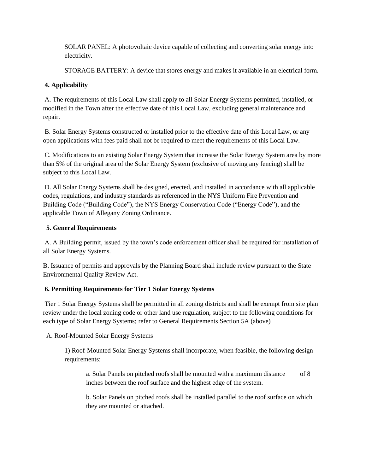SOLAR PANEL: A photovoltaic device capable of collecting and converting solar energy into electricity.

STORAGE BATTERY: A device that stores energy and makes it available in an electrical form.

## **4. Applicability**

A. The requirements of this Local Law shall apply to all Solar Energy Systems permitted, installed, or modified in the Town after the effective date of this Local Law, excluding general maintenance and repair.

B. Solar Energy Systems constructed or installed prior to the effective date of this Local Law, or any open applications with fees paid shall not be required to meet the requirements of this Local Law.

C. Modifications to an existing Solar Energy System that increase the Solar Energy System area by more than 5% of the original area of the Solar Energy System (exclusive of moving any fencing) shall be subject to this Local Law.

D. All Solar Energy Systems shall be designed, erected, and installed in accordance with all applicable codes, regulations, and industry standards as referenced in the NYS Uniform Fire Prevention and Building Code ("Building Code"), the NYS Energy Conservation Code ("Energy Code"), and the applicable Town of Allegany Zoning Ordinance.

## **5. General Requirements**

A. A Building permit, issued by the town's code enforcement officer shall be required for installation of all Solar Energy Systems.

B. Issuance of permits and approvals by the Planning Board shall include review pursuant to the State Environmental Quality Review Act.

# **6. Permitting Requirements for Tier 1 Solar Energy Systems**

Tier 1 Solar Energy Systems shall be permitted in all zoning districts and shall be exempt from site plan review under the local zoning code or other land use regulation, subject to the following conditions for each type of Solar Energy Systems; refer to General Requirements Section 5A (above)

A. Roof-Mounted Solar Energy Systems

1) Roof-Mounted Solar Energy Systems shall incorporate, when feasible, the following design requirements:

a. Solar Panels on pitched roofs shall be mounted with a maximum distance of 8 inches between the roof surface and the highest edge of the system.

b. Solar Panels on pitched roofs shall be installed parallel to the roof surface on which they are mounted or attached.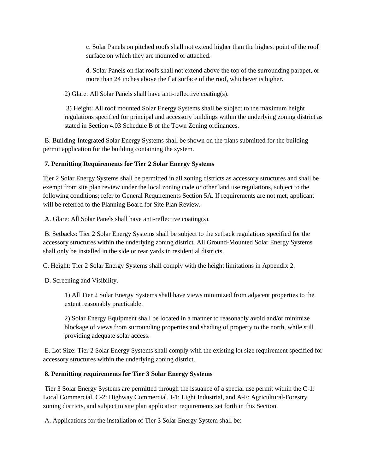c. Solar Panels on pitched roofs shall not extend higher than the highest point of the roof surface on which they are mounted or attached.

d. Solar Panels on flat roofs shall not extend above the top of the surrounding parapet, or more than 24 inches above the flat surface of the roof, whichever is higher.

2) Glare: All Solar Panels shall have anti-reflective coating(s).

3) Height: All roof mounted Solar Energy Systems shall be subject to the maximum height regulations specified for principal and accessory buildings within the underlying zoning district as stated in Section 4.03 Schedule B of the Town Zoning ordinances.

B. Building-Integrated Solar Energy Systems shall be shown on the plans submitted for the building permit application for the building containing the system.

## **7. Permitting Requirements for Tier 2 Solar Energy Systems**

Tier 2 Solar Energy Systems shall be permitted in all zoning districts as accessory structures and shall be exempt from site plan review under the local zoning code or other land use regulations, subject to the following conditions; refer to General Requirements Section 5A. If requirements are not met, applicant will be referred to the Planning Board for Site Plan Review.

A. Glare: All Solar Panels shall have anti-reflective coating(s).

B. Setbacks: Tier 2 Solar Energy Systems shall be subject to the setback regulations specified for the accessory structures within the underlying zoning district. All Ground-Mounted Solar Energy Systems shall only be installed in the side or rear yards in residential districts.

C. Height: Tier 2 Solar Energy Systems shall comply with the height limitations in Appendix 2.

D. Screening and Visibility.

1) All Tier 2 Solar Energy Systems shall have views minimized from adjacent properties to the extent reasonably practicable.

2) Solar Energy Equipment shall be located in a manner to reasonably avoid and/or minimize blockage of views from surrounding properties and shading of property to the north, while still providing adequate solar access.

E. Lot Size: Tier 2 Solar Energy Systems shall comply with the existing lot size requirement specified for accessory structures within the underlying zoning district.

## **8. Permitting requirements for Tier 3 Solar Energy Systems**

Tier 3 Solar Energy Systems are permitted through the issuance of a special use permit within the C-1: Local Commercial, C-2: Highway Commercial, I-1: Light Industrial, and A-F: Agricultural-Forestry zoning districts, and subject to site plan application requirements set forth in this Section.

A. Applications for the installation of Tier 3 Solar Energy System shall be: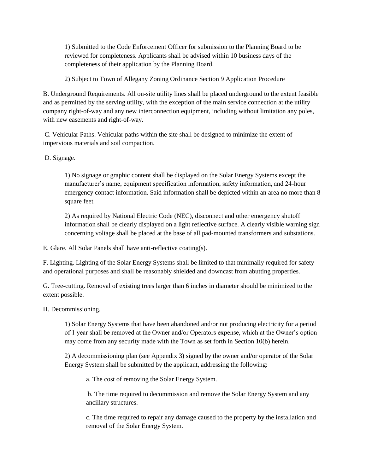1) Submitted to the Code Enforcement Officer for submission to the Planning Board to be reviewed for completeness. Applicants shall be advised within 10 business days of the completeness of their application by the Planning Board.

2) Subject to Town of Allegany Zoning Ordinance Section 9 Application Procedure

B. Underground Requirements. All on-site utility lines shall be placed underground to the extent feasible and as permitted by the serving utility, with the exception of the main service connection at the utility company right-of-way and any new interconnection equipment, including without limitation any poles, with new easements and right-of-way.

C. Vehicular Paths. Vehicular paths within the site shall be designed to minimize the extent of impervious materials and soil compaction.

D. Signage.

1) No signage or graphic content shall be displayed on the Solar Energy Systems except the manufacturer's name, equipment specification information, safety information, and 24-hour emergency contact information. Said information shall be depicted within an area no more than 8 square feet.

2) As required by National Electric Code (NEC), disconnect and other emergency shutoff information shall be clearly displayed on a light reflective surface. A clearly visible warning sign concerning voltage shall be placed at the base of all pad-mounted transformers and substations.

E. Glare. All Solar Panels shall have anti-reflective coating(s).

F. Lighting. Lighting of the Solar Energy Systems shall be limited to that minimally required for safety and operational purposes and shall be reasonably shielded and downcast from abutting properties.

G. Tree-cutting. Removal of existing trees larger than 6 inches in diameter should be minimized to the extent possible.

H. Decommissioning.

1) Solar Energy Systems that have been abandoned and/or not producing electricity for a period of 1 year shall be removed at the Owner and/or Operators expense, which at the Owner's option may come from any security made with the Town as set forth in Section 10(b) herein.

2) A decommissioning plan (see Appendix 3) signed by the owner and/or operator of the Solar Energy System shall be submitted by the applicant, addressing the following:

a. The cost of removing the Solar Energy System.

b. The time required to decommission and remove the Solar Energy System and any ancillary structures.

c. The time required to repair any damage caused to the property by the installation and removal of the Solar Energy System.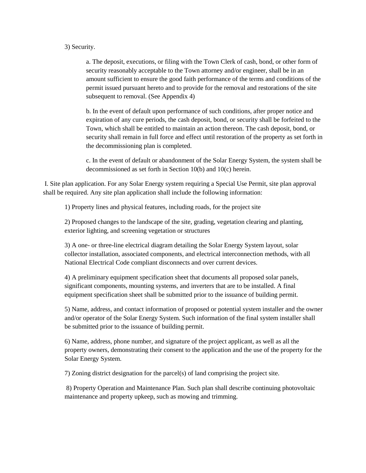#### 3) Security.

a. The deposit, executions, or filing with the Town Clerk of cash, bond, or other form of security reasonably acceptable to the Town attorney and/or engineer, shall be in an amount sufficient to ensure the good faith performance of the terms and conditions of the permit issued pursuant hereto and to provide for the removal and restorations of the site subsequent to removal. (See Appendix 4)

b. In the event of default upon performance of such conditions, after proper notice and expiration of any cure periods, the cash deposit, bond, or security shall be forfeited to the Town, which shall be entitled to maintain an action thereon. The cash deposit, bond, or security shall remain in full force and effect until restoration of the property as set forth in the decommissioning plan is completed.

c. In the event of default or abandonment of the Solar Energy System, the system shall be decommissioned as set forth in Section 10(b) and 10(c) herein.

I. Site plan application. For any Solar Energy system requiring a Special Use Permit, site plan approval shall be required. Any site plan application shall include the following information:

1) Property lines and physical features, including roads, for the project site

2) Proposed changes to the landscape of the site, grading, vegetation clearing and planting, exterior lighting, and screening vegetation or structures

3) A one- or three-line electrical diagram detailing the Solar Energy System layout, solar collector installation, associated components, and electrical interconnection methods, with all National Electrical Code compliant disconnects and over current devices.

4) A preliminary equipment specification sheet that documents all proposed solar panels, significant components, mounting systems, and inverters that are to be installed. A final equipment specification sheet shall be submitted prior to the issuance of building permit.

5) Name, address, and contact information of proposed or potential system installer and the owner and/or operator of the Solar Energy System. Such information of the final system installer shall be submitted prior to the issuance of building permit.

6) Name, address, phone number, and signature of the project applicant, as well as all the property owners, demonstrating their consent to the application and the use of the property for the Solar Energy System.

7) Zoning district designation for the parcel(s) of land comprising the project site.

8) Property Operation and Maintenance Plan. Such plan shall describe continuing photovoltaic maintenance and property upkeep, such as mowing and trimming.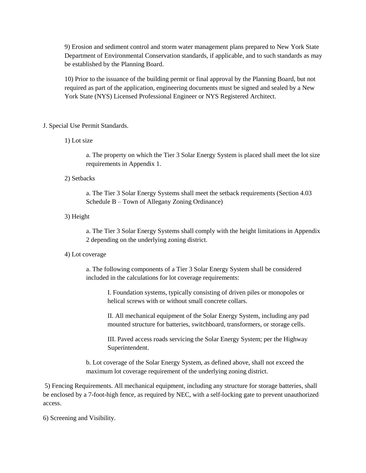9) Erosion and sediment control and storm water management plans prepared to New York State Department of Environmental Conservation standards, if applicable, and to such standards as may be established by the Planning Board.

10) Prior to the issuance of the building permit or final approval by the Planning Board, but not required as part of the application, engineering documents must be signed and sealed by a New York State (NYS) Licensed Professional Engineer or NYS Registered Architect.

#### J. Special Use Permit Standards.

1) Lot size

a. The property on which the Tier 3 Solar Energy System is placed shall meet the lot size requirements in Appendix 1.

2) Setbacks

a. The Tier 3 Solar Energy Systems shall meet the setback requirements (Section 4.03 Schedule B – Town of Allegany Zoning Ordinance)

3) Height

a. The Tier 3 Solar Energy Systems shall comply with the height limitations in Appendix 2 depending on the underlying zoning district.

#### 4) Lot coverage

a. The following components of a Tier 3 Solar Energy System shall be considered included in the calculations for lot coverage requirements:

I. Foundation systems, typically consisting of driven piles or monopoles or helical screws with or without small concrete collars.

II. All mechanical equipment of the Solar Energy System, including any pad mounted structure for batteries, switchboard, transformers, or storage cells.

III. Paved access roads servicing the Solar Energy System; per the Highway Superintendent.

b. Lot coverage of the Solar Energy System, as defined above, shall not exceed the maximum lot coverage requirement of the underlying zoning district.

5) Fencing Requirements. All mechanical equipment, including any structure for storage batteries, shall be enclosed by a 7-foot-high fence, as required by NEC, with a self-locking gate to prevent unauthorized access.

6) Screening and Visibility.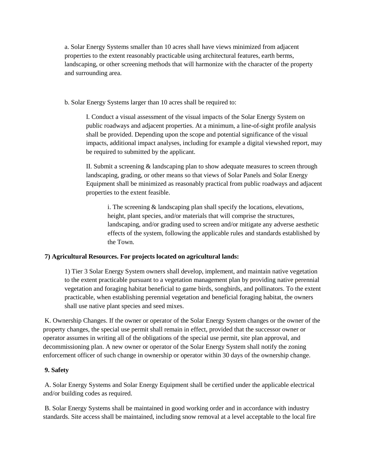a. Solar Energy Systems smaller than 10 acres shall have views minimized from adjacent properties to the extent reasonably practicable using architectural features, earth berms, landscaping, or other screening methods that will harmonize with the character of the property and surrounding area.

b. Solar Energy Systems larger than 10 acres shall be required to:

I. Conduct a visual assessment of the visual impacts of the Solar Energy System on public roadways and adjacent properties. At a minimum, a line-of-sight profile analysis shall be provided. Depending upon the scope and potential significance of the visual impacts, additional impact analyses, including for example a digital viewshed report, may be required to submitted by the applicant.

II. Submit a screening & landscaping plan to show adequate measures to screen through landscaping, grading, or other means so that views of Solar Panels and Solar Energy Equipment shall be minimized as reasonably practical from public roadways and adjacent properties to the extent feasible.

i. The screening & landscaping plan shall specify the locations, elevations, height, plant species, and/or materials that will comprise the structures, landscaping, and/or grading used to screen and/or mitigate any adverse aesthetic effects of the system, following the applicable rules and standards established by the Town.

## **7) Agricultural Resources. For projects located on agricultural lands:**

1) Tier 3 Solar Energy System owners shall develop, implement, and maintain native vegetation to the extent practicable pursuant to a vegetation management plan by providing native perennial vegetation and foraging habitat beneficial to game birds, songbirds, and pollinators. To the extent practicable, when establishing perennial vegetation and beneficial foraging habitat, the owners shall use native plant species and seed mixes.

K. Ownership Changes. If the owner or operator of the Solar Energy System changes or the owner of the property changes, the special use permit shall remain in effect, provided that the successor owner or operator assumes in writing all of the obligations of the special use permit, site plan approval, and decommissioning plan. A new owner or operator of the Solar Energy System shall notify the zoning enforcement officer of such change in ownership or operator within 30 days of the ownership change.

## **9. Safety**

A. Solar Energy Systems and Solar Energy Equipment shall be certified under the applicable electrical and/or building codes as required.

B. Solar Energy Systems shall be maintained in good working order and in accordance with industry standards. Site access shall be maintained, including snow removal at a level acceptable to the local fire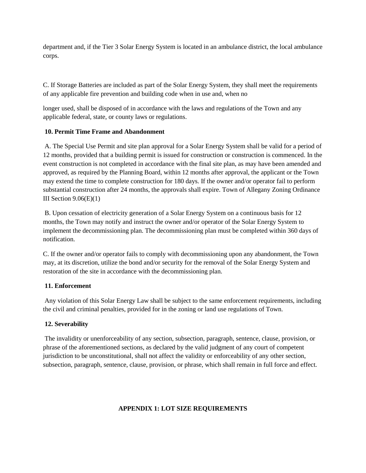department and, if the Tier 3 Solar Energy System is located in an ambulance district, the local ambulance corps.

C. If Storage Batteries are included as part of the Solar Energy System, they shall meet the requirements of any applicable fire prevention and building code when in use and, when no

longer used, shall be disposed of in accordance with the laws and regulations of the Town and any applicable federal, state, or county laws or regulations.

## **10. Permit Time Frame and Abandonment**

A. The Special Use Permit and site plan approval for a Solar Energy System shall be valid for a period of 12 months, provided that a building permit is issued for construction or construction is commenced. In the event construction is not completed in accordance with the final site plan, as may have been amended and approved, as required by the Planning Board, within 12 months after approval, the applicant or the Town may extend the time to complete construction for 180 days. If the owner and/or operator fail to perform substantial construction after 24 months, the approvals shall expire. Town of Allegany Zoning Ordinance III Section  $9.06(E)(1)$ 

B. Upon cessation of electricity generation of a Solar Energy System on a continuous basis for 12 months, the Town may notify and instruct the owner and/or operator of the Solar Energy System to implement the decommissioning plan. The decommissioning plan must be completed within 360 days of notification.

C. If the owner and/or operator fails to comply with decommissioning upon any abandonment, the Town may, at its discretion, utilize the bond and/or security for the removal of the Solar Energy System and restoration of the site in accordance with the decommissioning plan.

## **11. Enforcement**

Any violation of this Solar Energy Law shall be subject to the same enforcement requirements, including the civil and criminal penalties, provided for in the zoning or land use regulations of Town.

## **12. Severability**

The invalidity or unenforceability of any section, subsection, paragraph, sentence, clause, provision, or phrase of the aforementioned sections, as declared by the valid judgment of any court of competent jurisdiction to be unconstitutional, shall not affect the validity or enforceability of any other section, subsection, paragraph, sentence, clause, provision, or phrase, which shall remain in full force and effect.

## **APPENDIX 1: LOT SIZE REQUIREMENTS**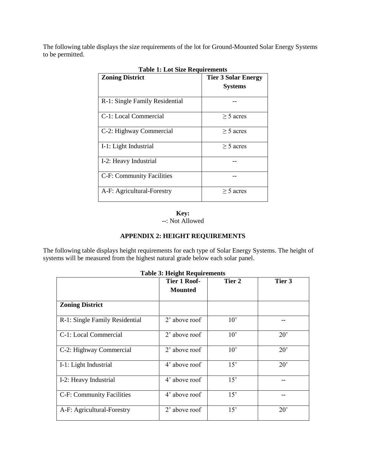The following table displays the size requirements of the lot for Ground-Mounted Solar Energy Systems to be permitted.

| <b>Zoning District</b>         | <b>Tier 3 Solar Energy</b><br><b>Systems</b> |
|--------------------------------|----------------------------------------------|
| R-1: Single Family Residential |                                              |
| C-1: Local Commercial          | $>$ 5 acres                                  |
| C-2: Highway Commercial        | $>$ 5 acres                                  |
| I-1: Light Industrial          | $>$ 5 acres                                  |
| I-2: Heavy Industrial          |                                              |
| C-F: Community Facilities      |                                              |
| A-F: Agricultural-Forestry     | $>$ 5 acres                                  |

**Table 1: Lot Size Requirements**

**Key:**

--: Not Allowed

## **APPENDIX 2: HEIGHT REQUIREMENTS**

The following table displays height requirements for each type of Solar Energy Systems. The height of systems will be measured from the highest natural grade below each solar panel.

|                                | <b>Tier 1 Roof-</b><br><b>Mounted</b> | Tier 2       | Tier 3       |
|--------------------------------|---------------------------------------|--------------|--------------|
| <b>Zoning District</b>         |                                       |              |              |
| R-1: Single Family Residential | 2' above roof                         | $10^{\circ}$ |              |
| C-1: Local Commercial          | 2' above roof                         | $10^{\circ}$ | $20^{\circ}$ |
| C-2: Highway Commercial        | 2' above roof                         | $10^{\circ}$ | $20^{\circ}$ |
| I-1: Light Industrial          | 4' above roof                         | 15'          | $20^{\circ}$ |
| I-2: Heavy Industrial          | 4' above roof                         | 15'          |              |
| C-F: Community Facilities      | 4' above roof                         | 15'          |              |
| A-F: Agricultural-Forestry     | 2' above roof                         | 15'          | $20^{\circ}$ |

#### **Table 3: Height Requirements**